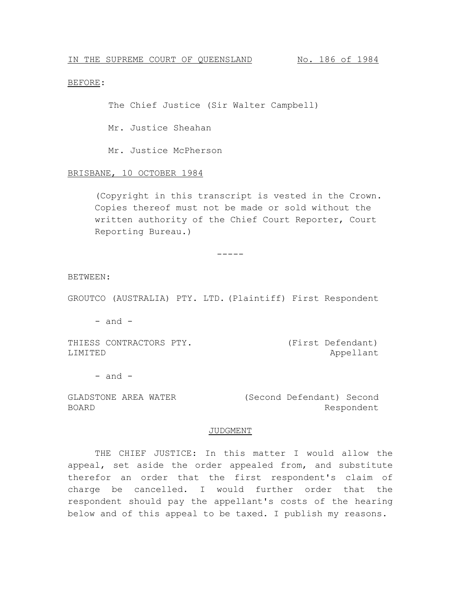## BEFORE:

The Chief Justice (Sir Walter Campbell)

Mr. Justice Sheahan

Mr. Justice McPherson

#### BRISBANE, 10 OCTOBER 1984

(Copyright in this transcript is vested in the Crown. Copies thereof must not be made or sold without the written authority of the Chief Court Reporter, Court Reporting Bureau.)

BETWEEN:

GROUTCO (AUSTRALIA) PTY. LTD. (Plaintiff) First Respondent

-----

 $-$  and  $-$ 

THIESS CONTRACTORS PTY. LIMITED

(First Defendant) Appellant

 $-$  and  $-$ 

GLADSTONE AREA WATER BOARD (Second Defendant) Second Respondent

## JUDGMENT

THE CHIEF JUSTICE: In this matter I would allow the appeal, set aside the order appealed from, and substitute therefor an order that the first respondent's claim of charge be cancelled. I would further order that the respondent should pay the appellant's costs of the hearing below and of this appeal to be taxed. I publish my reasons.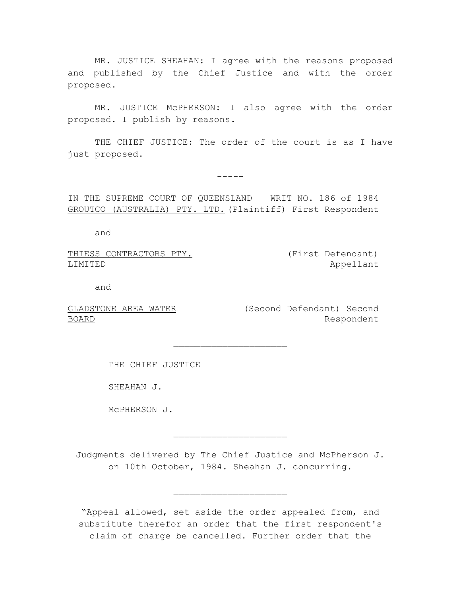MR. JUSTICE SHEAHAN: I agree with the reasons proposed and published by the Chief Justice and with the order proposed.

MR. JUSTICE McPHERSON: I also agree with the order proposed. I publish by reasons.

THE CHIEF JUSTICE: The order of the court is as I have just proposed.

 $-----$ 

IN THE SUPREME COURT OF QUEENSLAND WRIT NO. 186 of 1984 GROUTCO (AUSTRALIA) PTY. LTD. (Plaintiff) First Respondent

and

THIESS CONTRACTORS PTY. LIMITED

(First Defendant) Appellant

and

BOARD

GLADSTONE AREA WATER (Second Defendant) Second Respondent

THE CHIEF JUSTICE

SHEAHAN J.

McPHERSON J.

Judgments delivered by The Chief Justice and McPherson J. on 10th October, 1984. Sheahan J. concurring.

 $\overline{\phantom{a}}$  , where  $\overline{\phantom{a}}$  , where  $\overline{\phantom{a}}$  , where  $\overline{\phantom{a}}$ 

 $\overline{\phantom{a}}$  , where  $\overline{\phantom{a}}$  , where  $\overline{\phantom{a}}$  , where  $\overline{\phantom{a}}$ 

 $\overline{\phantom{a}}$  , where  $\overline{\phantom{a}}$  , where  $\overline{\phantom{a}}$  , where  $\overline{\phantom{a}}$ 

"Appeal allowed, set aside the order appealed from, and substitute therefor an order that the first respondent's claim of charge be cancelled. Further order that the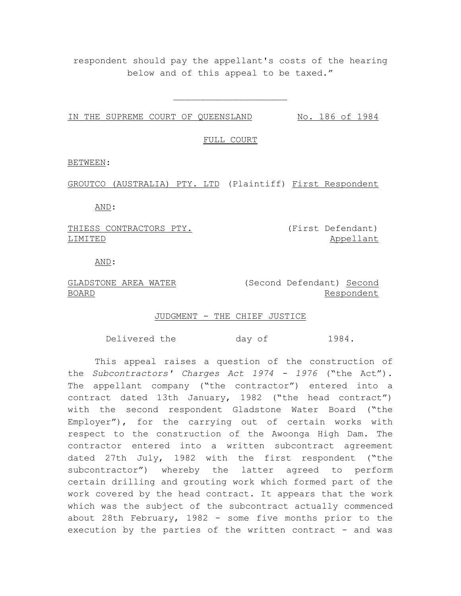respondent should pay the appellant's costs of the hearing below and of this appeal to be taxed."

 $\overline{\phantom{a}}$  , where  $\overline{\phantom{a}}$  , where  $\overline{\phantom{a}}$  , where  $\overline{\phantom{a}}$ 

IN THE SUPREME COURT OF QUEENSLAND No. 186 of 1984

FULL COURT

BETWEEN:

GROUTCO (AUSTRALIA) PTY. LTD (Plaintiff) First Respondent

AND:

THIESS CONTRACTORS PTY. LIMITED

(First Defendant) Appellant

AND:

GLADSTONE AREA WATER (Second Defendant) Second BOARD Respondent

JUDGMENT - THE CHIEF JUSTICE

Delivered the day of 1984.

This appeal raises a question of the construction of the *Subcontractors' Charges Act 1974 - 1976* ("the Act"). The appellant company ("the contractor") entered into a contract dated 13th January, 1982 ("the head contract") with the second respondent Gladstone Water Board ("the Employer"), for the carrying out of certain works with respect to the construction of the Awoonga High Dam. The contractor entered into a written subcontract agreement dated 27th July, 1982 with the first respondent ("the subcontractor") whereby the latter agreed to perform certain drilling and grouting work which formed part of the work covered by the head contract. It appears that the work which was the subject of the subcontract actually commenced about 28th February, 1982 - some five months prior to the execution by the parties of the written contract - and was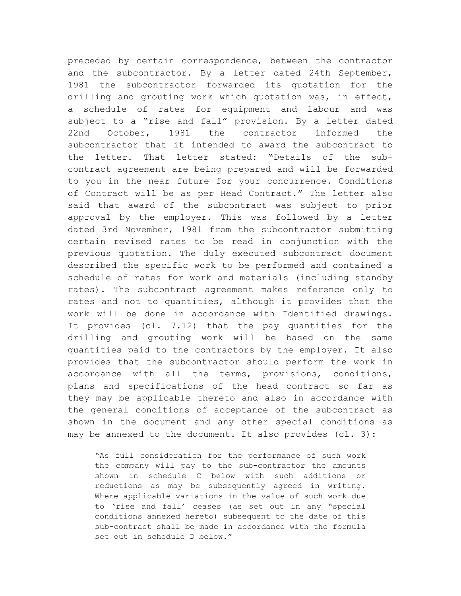preceded by certain correspondence, between the contractor and the subcontractor. By a letter dated 24th September, 1981 the subcontractor forwarded its quotation for the drilling and grouting work which quotation was, in effect, a schedule of rates for equipment and labour and was subject to a "rise and fall" provision. By a letter dated 22nd October, 1981 the contractor informed the subcontractor that it intended to award the subcontract to the letter. That letter stated: "Details of the subcontract agreement are being prepared and will be forwarded to you in the near future for your concurrence. Conditions of Contract will be as per Head Contract." The letter also said that award of the subcontract was subject to prior approval by the employer. This was followed by a letter dated 3rd November, 1981 from the subcontractor submitting certain revised rates to be read in conjunction with the previous quotation. The duly executed subcontract document described the specific work to be performed and contained a schedule of rates for work and materials (including standby rates). The subcontract agreement makes reference only to rates and not to quantities, although it provides that the work will be done in accordance with Identified drawings. It provides (cl. 7.12) that the pay quantities for the drilling and grouting work will be based on the same quantities paid to the contractors by the employer. It also provides that the subcontractor should perform the work in accordance with all the terms, provisions, conditions, plans and specifications of the head contract so far as they may be applicable thereto and also in accordance with the general conditions of acceptance of the subcontract as shown in the document and any other special conditions as may be annexed to the document. It also provides (cl. 3):

"As full consideration for the performance of such work the company will pay to the sub-contractor the amounts shown in schedule C below with such additions or reductions as may be subsequently agreed in writing. Where applicable variations in the value of such work due to 'rise and fall' ceases (as set out in any "special conditions annexed hereto) subsequent to the date of this sub-contract shall be made in accordance with the formula set out in schedule D below."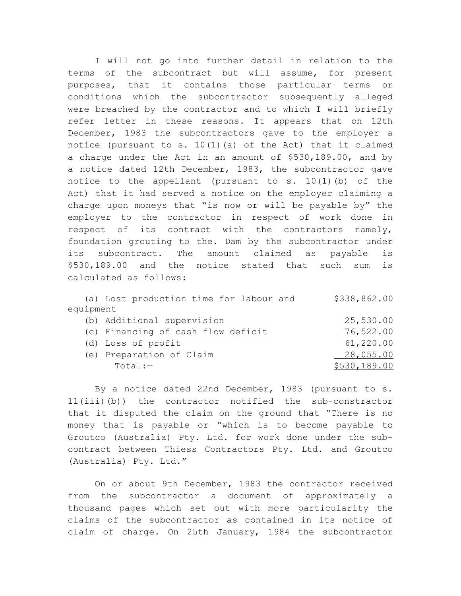I will not go into further detail in relation to the terms of the subcontract but will assume, for present purposes, that it contains those particular terms or conditions which the subcontractor subsequently alleged were breached by the contractor and to which I will briefly refer letter in these reasons. It appears that on 12th December, 1983 the subcontractors gave to the employer a notice (pursuant to s. 10(1)(a) of the Act) that it claimed a charge under the Act in an amount of \$530,189.00, and by a notice dated 12th December, 1983, the subcontractor gave notice to the appellant (pursuant to s.  $10(1)$  (b) of the Act) that it had served a notice on the employer claiming a charge upon moneys that "is now or will be payable by" the employer to the contractor in respect of work done in respect of its contract with the contractors namely, foundation grouting to the. Dam by the subcontractor under its subcontract. The amount claimed as payable is \$530,189.00 and the notice stated that such sum is calculated as follows:

|           | (a) Lost production time for labour and | \$338,862.00 |
|-----------|-----------------------------------------|--------------|
| equipment |                                         |              |
|           | (b) Additional supervision              | 25,530.00    |
|           | (c) Financing of cash flow deficit      | 76,522.00    |
|           | (d) Loss of profit                      | 61,220.00    |
|           | (e) Preparation of Claim                | 28,055.00    |
|           | $Total:-$                               | \$530,189.00 |
|           |                                         |              |

By a notice dated 22nd December, 1983 (pursuant to s. 11(iii)(b)) the contractor notified the sub-constractor that it disputed the claim on the ground that "There is no money that is payable or "which is to become payable to Groutco (Australia) Pty. Ltd. for work done under the subcontract between Thiess Contractors Pty. Ltd. and Groutco (Australia) Pty. Ltd."

On or about 9th December, 1983 the contractor received from the subcontractor a document of approximately a thousand pages which set out with more particularity the claims of the subcontractor as contained in its notice of claim of charge. On 25th January, 1984 the subcontractor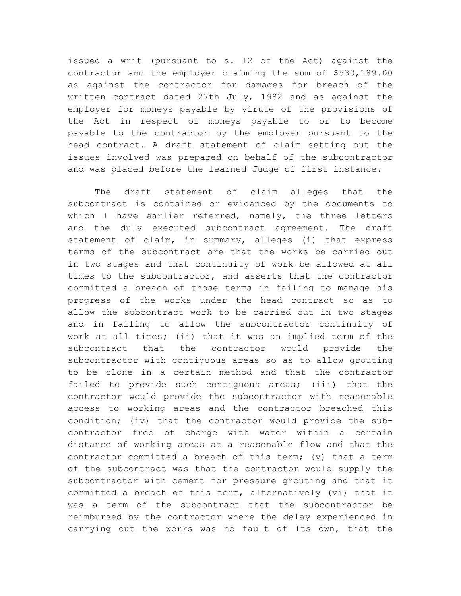issued a writ (pursuant to s. 12 of the Act) against the contractor and the employer claiming the sum of \$530,189.00 as against the contractor for damages for breach of the written contract dated 27th July, 1982 and as against the employer for moneys payable by virute of the provisions of the Act in respect of moneys payable to or to become payable to the contractor by the employer pursuant to the head contract. A draft statement of claim setting out the issues involved was prepared on behalf of the subcontractor and was placed before the learned Judge of first instance.

The draft statement of claim alleges that the subcontract is contained or evidenced by the documents to which I have earlier referred, namely, the three letters and the duly executed subcontract agreement. The draft statement of claim, in summary, alleges (i) that express terms of the subcontract are that the works be carried out in two stages and that continuity of work be allowed at all times to the subcontractor, and asserts that the contractor committed a breach of those terms in failing to manage his progress of the works under the head contract so as to allow the subcontract work to be carried out in two stages and in failing to allow the subcontractor continuity of work at all times; (ii) that it was an implied term of the subcontract that the contractor would provide the subcontractor with contiguous areas so as to allow grouting to be clone in a certain method and that the contractor failed to provide such contiguous areas; (iii) that the contractor would provide the subcontractor with reasonable access to working areas and the contractor breached this condition; (iv) that the contractor would provide the subcontractor free of charge with water within a certain distance of working areas at a reasonable flow and that the contractor committed a breach of this term; (v) that a term of the subcontract was that the contractor would supply the subcontractor with cement for pressure grouting and that it committed a breach of this term, alternatively (vi) that it was a term of the subcontract that the subcontractor be reimbursed by the contractor where the delay experienced in carrying out the works was no fault of Its own, that the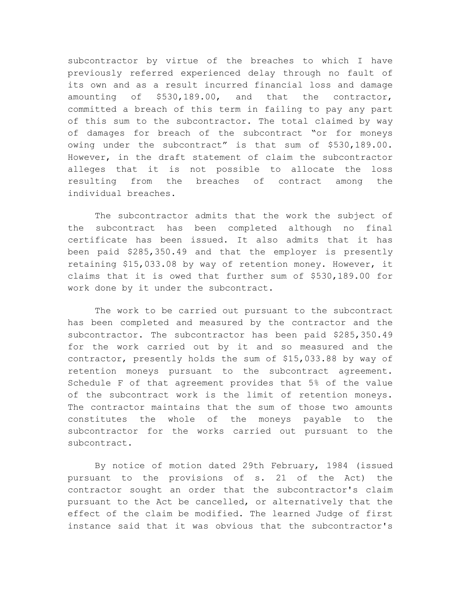subcontractor by virtue of the breaches to which I have previously referred experienced delay through no fault of its own and as a result incurred financial loss and damage amounting of \$530,189.00, and that the contractor, committed a breach of this term in failing to pay any part of this sum to the subcontractor. The total claimed by way of damages for breach of the subcontract "or for moneys owing under the subcontract" is that sum of \$530,189.00. However, in the draft statement of claim the subcontractor alleges that it is not possible to allocate the loss resulting from the breaches of contract among the individual breaches.

The subcontractor admits that the work the subject of the subcontract has been completed although no final certificate has been issued. It also admits that it has been paid \$285,350.49 and that the employer is presently retaining \$15,033.08 by way of retention money. However, it claims that it is owed that further sum of \$530,189.00 for work done by it under the subcontract.

The work to be carried out pursuant to the subcontract has been completed and measured by the contractor and the subcontractor. The subcontractor has been paid \$285,350.49 for the work carried out by it and so measured and the contractor, presently holds the sum of \$15,033.88 by way of retention moneys pursuant to the subcontract agreement. Schedule F of that agreement provides that 5% of the value of the subcontract work is the limit of retention moneys. The contractor maintains that the sum of those two amounts constitutes the whole of the moneys payable to the subcontractor for the works carried out pursuant to the subcontract.

By notice of motion dated 29th February, 1984 (issued pursuant to the provisions of s. 21 of the Act) the contractor sought an order that the subcontractor's claim pursuant to the Act be cancelled, or alternatively that the effect of the claim be modified. The learned Judge of first instance said that it was obvious that the subcontractor's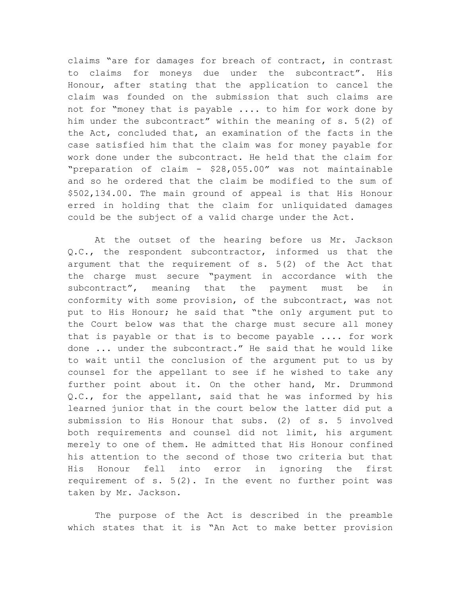claims "are for damages for breach of contract, in contrast to claims for moneys due under the subcontract". His Honour, after stating that the application to cancel the claim was founded on the submission that such claims are not for "money that is payable .... to him for work done by him under the subcontract" within the meaning of s. 5(2) of the Act, concluded that, an examination of the facts in the case satisfied him that the claim was for money payable for work done under the subcontract. He held that the claim for "preparation of claim - \$28,055.00" was not maintainable and so he ordered that the claim be modified to the sum of \$502,134.00. The main ground of appeal is that His Honour erred in holding that the claim for unliquidated damages could be the subject of a valid charge under the Act.

At the outset of the hearing before us Mr. Jackson Q.C., the respondent subcontractor, informed us that the argument that the requirement of s. 5(2) of the Act that the charge must secure "payment in accordance with the subcontract", meaning that the payment must be in conformity with some provision, of the subcontract, was not put to His Honour; he said that "the only argument put to the Court below was that the charge must secure all money that is payable or that is to become payable .... for work done ... under the subcontract." He said that he would like to wait until the conclusion of the argument put to us by counsel for the appellant to see if he wished to take any further point about it. On the other hand, Mr. Drummond Q.C., for the appellant, said that he was informed by his learned junior that in the court below the latter did put a submission to His Honour that subs. (2) of s. 5 involved both requirements and counsel did not limit, his argument merely to one of them. He admitted that His Honour confined his attention to the second of those two criteria but that His Honour fell into error in ignoring the first requirement of s. 5(2). In the event no further point was taken by Mr. Jackson.

The purpose of the Act is described in the preamble which states that it is "An Act to make better provision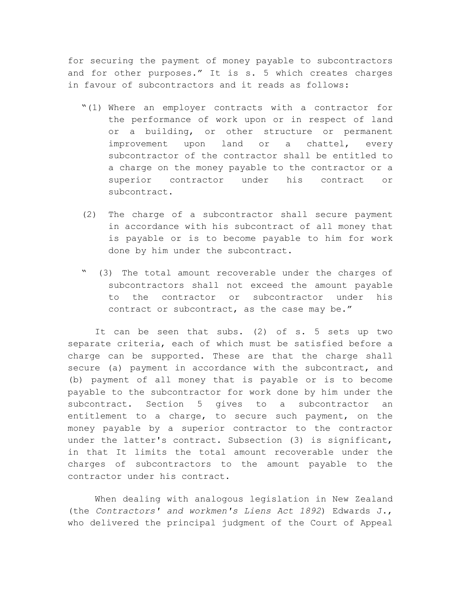for securing the payment of money payable to subcontractors and for other purposes." It is s. 5 which creates charges in favour of subcontractors and it reads as follows:

- "(1) Where an employer contracts with a contractor for the performance of work upon or in respect of land or a building, or other structure or permanent improvement upon land or a chattel, every subcontractor of the contractor shall be entitled to a charge on the money payable to the contractor or a superior contractor under his contract or subcontract.
- (2) The charge of a subcontractor shall secure payment in accordance with his subcontract of all money that is payable or is to become payable to him for work done by him under the subcontract.
- (3) The total amount recoverable under the charges of subcontractors shall not exceed the amount payable to the contractor or subcontractor under his contract or subcontract, as the case may be."

It can be seen that subs. (2) of s. 5 sets up two separate criteria, each of which must be satisfied before a charge can be supported. These are that the charge shall secure (a) payment in accordance with the subcontract, and (b) payment of all money that is payable or is to become payable to the subcontractor for work done by him under the subcontract. Section 5 gives to a subcontractor an entitlement to a charge, to secure such payment, on the money payable by a superior contractor to the contractor under the latter's contract. Subsection (3) is significant, in that It limits the total amount recoverable under the charges of subcontractors to the amount payable to the contractor under his contract.

When dealing with analogous legislation in New Zealand (the *Contractors' and workmen's Liens Act 1892*) Edwards J., who delivered the principal judgment of the Court of Appeal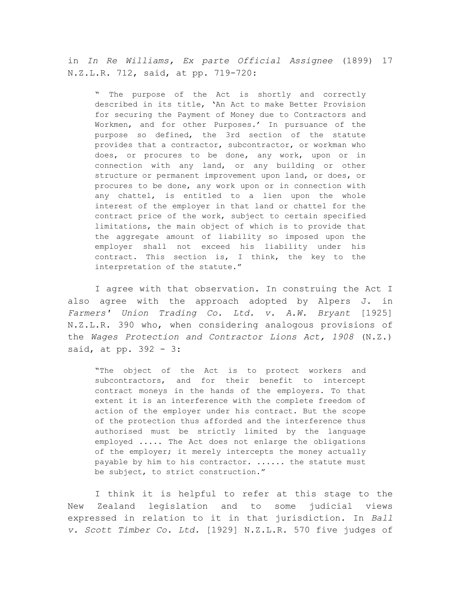in *In Re Williams, Ex parte Official Assignee* (1899) 17 N.Z.L.R. 712, said, at pp. 719-720:

" The purpose of the Act is shortly and correctly described in its title, 'An Act to make Better Provision for securing the Payment of Money due to Contractors and Workmen, and for other Purposes.' In pursuance of the purpose so defined, the 3rd section of the statute provides that a contractor, subcontractor, or workman who does, or procures to be done, any work, upon or in connection with any land, or any building or other structure or permanent improvement upon land, or does, or procures to be done, any work upon or in connection with any chattel, is entitled to a lien upon the whole interest of the employer in that land or chattel for the contract price of the work, subject to certain specified limitations, the main object of which is to provide that the aggregate amount of liability so imposed upon the employer shall not exceed his liability under his contract. This section is, I think, the key to the interpretation of the statute."

I agree with that observation. In construing the Act I also agree with the approach adopted by Alpers J. in *Farmers' Union Trading Co. Ltd. v. A.W. Bryant* [1925] N.Z.L.R. 390 who, when considering analogous provisions of the *Wages Protection and Contractor Lions Act, 1908* (N.Z.) said, at pp. 392 - 3:

"The object of the Act is to protect workers and subcontractors, and for their benefit to intercept contract moneys in the hands of the employers. To that extent it is an interference with the complete freedom of action of the employer under his contract. But the scope of the protection thus afforded and the interference thus authorised must be strictly limited by the language employed ..... The Act does not enlarge the obligations of the employer; it merely intercepts the money actually payable by him to his contractor. ...... the statute must be subject, to strict construction."

I think it is helpful to refer at this stage to the New Zealand legislation and to some judicial views expressed in relation to it in that jurisdiction. In *Ball v. Scott Timber Co. Ltd.* [1929] N.Z.L.R. 570 five judges of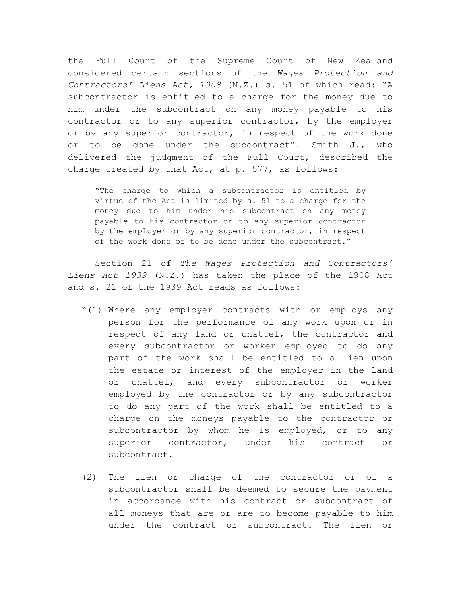the Full Court of the Supreme Court of New Zealand considered certain sections of the *Wages Protection and Contractors' Liens Act, 1908* (N.Z.) s. 51 of which read: "A subcontractor is entitled to a charge for the money due to him under the subcontract on any money payable to his contractor or to any superior contractor, by the employer or by any superior contractor, in respect of the work done or to be done under the subcontract". Smith J., who delivered the judgment of the Full Court, described the charge created by that Act, at p. 577, as follows:

"The charge to which a subcontractor is entitled by virtue of the Act is limited by s. 51 to a charge for the money due to him under his subcontract on any money payable to his contractor or to any superior contractor by the employer or by any superior contractor, in respect of the work done or to be done under the subcontract."

Section 21 of *The Wages Protection and Contractors' Liens Act 1939* (N.Z.) has taken the place of the 1908 Act and s. 21 of the 1939 Act reads as follows:

- "(1) Where any employer contracts with or employs any person for the performance of any work upon or in respect of any land or chattel, the contractor and every subcontractor or worker employed to do any part of the work shall be entitled to a lien upon the estate or interest of the employer in the land or chattel, and every subcontractor or worker employed by the contractor or by any subcontractor to do any part of the work shall be entitled to a charge on the moneys payable to the contractor or subcontractor by whom he is employed, or to any superior contractor, under his contract or subcontract.
- (2) The lien or charge of the contractor or of a subcontractor shall be deemed to secure the payment in accordance with his contract or subcontract of all moneys that are or are to become payable to him under the contract or subcontract. The lien or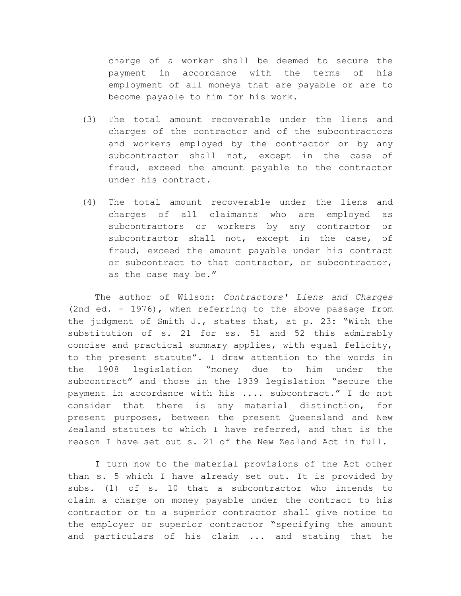charge of a worker shall be deemed to secure the payment in accordance with the terms of his employment of all moneys that are payable or are to become payable to him for his work.

- (3) The total amount recoverable under the liens and charges of the contractor and of the subcontractors and workers employed by the contractor or by any subcontractor shall not, except in the case of fraud, exceed the amount payable to the contractor under his contract.
- (4) The total amount recoverable under the liens and charges of all claimants who are employed as subcontractors or workers by any contractor or subcontractor shall not, except in the case, of fraud, exceed the amount payable under his contract or subcontract to that contractor, or subcontractor, as the case may be."

The author of Wilson: *Contractors' Liens and Charges* (2nd ed. - 1976), when referring to the above passage from the judgment of Smith J., states that, at p. 23: "With the substitution of s. 21 for ss. 51 and 52 this admirably concise and practical summary applies, with equal felicity, to the present statute". I draw attention to the words in the 1908 legislation "money due to him under the subcontract" and those in the 1939 legislation "secure the payment in accordance with his .... subcontract." I do not consider that there is any material distinction, for present purposes, between the present Queensland and New Zealand statutes to which I have referred, and that is the reason I have set out s. 21 of the New Zealand Act in full.

I turn now to the material provisions of the Act other than s. 5 which I have already set out. It is provided by subs. (1) of s. 10 that a subcontractor who intends to claim a charge on money payable under the contract to his contractor or to a superior contractor shall give notice to the employer or superior contractor "specifying the amount and particulars of his claim ... and stating that he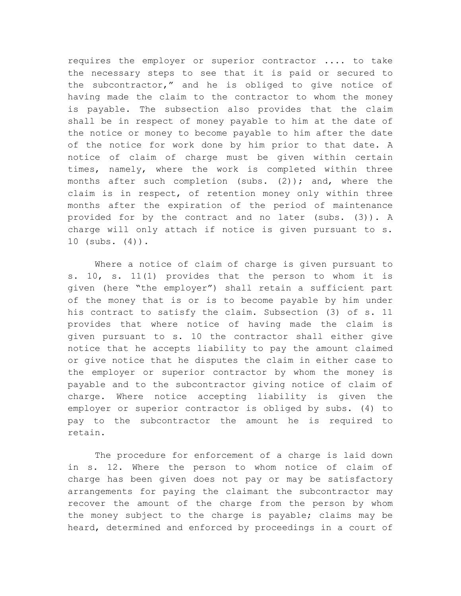requires the employer or superior contractor .... to take the necessary steps to see that it is paid or secured to the subcontractor," and he is obliged to give notice of having made the claim to the contractor to whom the money is payable. The subsection also provides that the claim shall be in respect of money payable to him at the date of the notice or money to become payable to him after the date of the notice for work done by him prior to that date. A notice of claim of charge must be given within certain times, namely, where the work is completed within three months after such completion (subs.  $(2)$ ); and, where the claim is in respect, of retention money only within three months after the expiration of the period of maintenance provided for by the contract and no later (subs. (3)). A charge will only attach if notice is given pursuant to s. 10 (subs. (4)).

Where a notice of claim of charge is given pursuant to s. 10, s. 11(1) provides that the person to whom it is given (here "the employer") shall retain a sufficient part of the money that is or is to become payable by him under his contract to satisfy the claim. Subsection (3) of s. 11 provides that where notice of having made the claim is given pursuant to s. 10 the contractor shall either give notice that he accepts liability to pay the amount claimed or give notice that he disputes the claim in either case to the employer or superior contractor by whom the money is payable and to the subcontractor giving notice of claim of charge. Where notice accepting liability is given the employer or superior contractor is obliged by subs. (4) to pay to the subcontractor the amount he is required to retain.

The procedure for enforcement of a charge is laid down in s. 12. Where the person to whom notice of claim of charge has been given does not pay or may be satisfactory arrangements for paying the claimant the subcontractor may recover the amount of the charge from the person by whom the money subject to the charge is payable; claims may be heard, determined and enforced by proceedings in a court of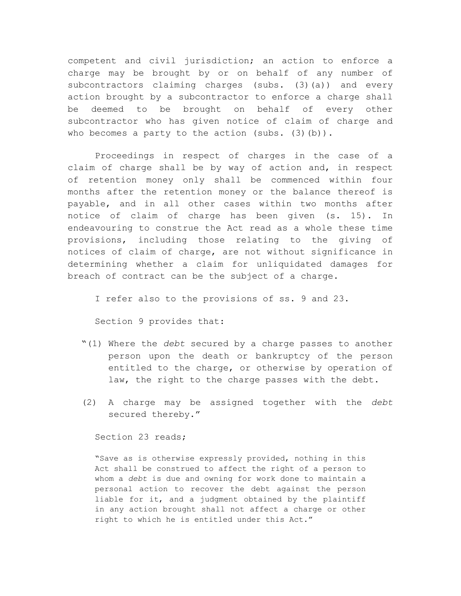competent and civil jurisdiction; an action to enforce a charge may be brought by or on behalf of any number of subcontractors claiming charges (subs. (3)(a)) and every action brought by a subcontractor to enforce a charge shall be deemed to be brought on behalf of every other subcontractor who has given notice of claim of charge and who becomes a party to the action (subs.  $(3)(b)$ ).

Proceedings in respect of charges in the case of a claim of charge shall be by way of action and, in respect of retention money only shall be commenced within four months after the retention money or the balance thereof is payable, and in all other cases within two months after notice of claim of charge has been given (s. 15). In endeavouring to construe the Act read as a whole these time provisions, including those relating to the giving of notices of claim of charge, are not without significance in determining whether a claim for unliquidated damages for breach of contract can be the subject of a charge.

I refer also to the provisions of ss. 9 and 23.

Section 9 provides that:

- "(1) Where the *debt* secured by a charge passes to another person upon the death or bankruptcy of the person entitled to the charge, or otherwise by operation of law, the right to the charge passes with the debt.
- (2) A charge may be assigned together with the *debt* secured thereby."

Section 23 reads;

"Save as is otherwise expressly provided, nothing in this Act shall be construed to affect the right of a person to whom a *debt* is due and owning for work done to maintain a personal action to recover the debt against the person liable for it, and a judgment obtained by the plaintiff in any action brought shall not affect a charge or other right to which he is entitled under this Act."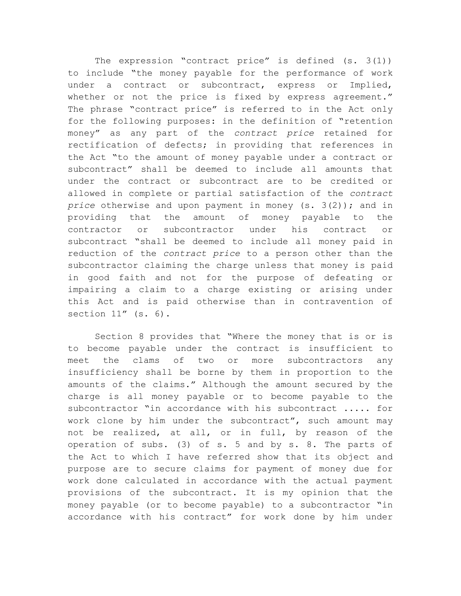The expression "contract price" is defined (s. 3(1)) to include "the money payable for the performance of work under a contract or subcontract, express or Implied, whether or not the price is fixed by express agreement." The phrase "contract price" is referred to in the Act only for the following purposes: in the definition of "retention money" as any part of the *contract price* retained for rectification of defects; in providing that references in the Act "to the amount of money payable under a contract or subcontract" shall be deemed to include all amounts that under the contract or subcontract are to be credited or allowed in complete or partial satisfaction of the *contract price* otherwise and upon payment in money (s. 3(2)); and in providing that the amount of money payable to the contractor or subcontractor under his contract or subcontract "shall be deemed to include all money paid in reduction of the *contract price* to a person other than the subcontractor claiming the charge unless that money is paid in good faith and not for the purpose of defeating or impairing a claim to a charge existing or arising under this Act and is paid otherwise than in contravention of section 11" (s. 6).

Section 8 provides that "Where the money that is or is to become payable under the contract is insufficient to meet the clams of two or more subcontractors any insufficiency shall be borne by them in proportion to the amounts of the claims." Although the amount secured by the charge is all money payable or to become payable to the subcontractor "in accordance with his subcontract ..... for work clone by him under the subcontract", such amount may not be realized, at all, or in full, by reason of the operation of subs. (3) of s. 5 and by s. 8. The parts of the Act to which I have referred show that its object and purpose are to secure claims for payment of money due for work done calculated in accordance with the actual payment provisions of the subcontract. It is my opinion that the money payable (or to become payable) to a subcontractor "in accordance with his contract" for work done by him under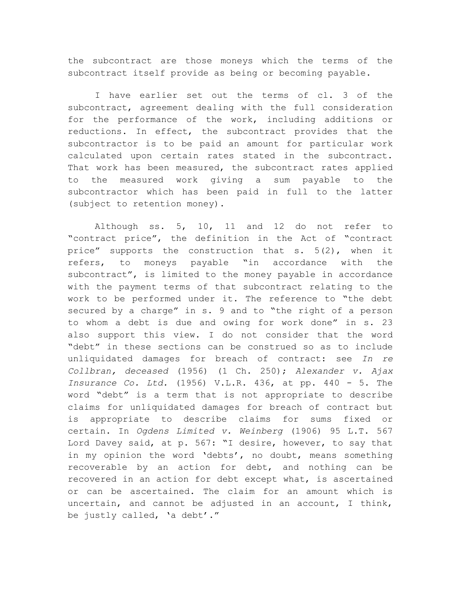the subcontract are those moneys which the terms of the subcontract itself provide as being or becoming payable.

I have earlier set out the terms of cl. 3 of the subcontract, agreement dealing with the full consideration for the performance of the work, including additions or reductions. In effect, the subcontract provides that the subcontractor is to be paid an amount for particular work calculated upon certain rates stated in the subcontract. That work has been measured, the subcontract rates applied to the measured work giving a sum payable to the subcontractor which has been paid in full to the latter (subject to retention money).

Although ss. 5, 10, 11 and 12 do not refer to "contract price", the definition in the Act of "contract price" supports the construction that s. 5(2), when it refers, to moneys payable "in accordance with the subcontract", is limited to the money payable in accordance with the payment terms of that subcontract relating to the work to be performed under it. The reference to "the debt secured by a charge" in s. 9 and to "the right of a person to whom a debt is due and owing for work done" in s. 23 also support this view. I do not consider that the word "debt" in these sections can be construed so as to include unliquidated damages for breach of contract: see *In re Collbran, deceased* (1956) (1 Ch. 250); *Alexander v. Ajax Insurance Co. Ltd.* (1956) V.L.R. 436, at pp. 440 - 5. The word "debt" is a term that is not appropriate to describe claims for unliquidated damages for breach of contract but is appropriate to describe claims for sums fixed or certain. In *Ogdens Limited v. Weinberg* (1906) 95 L.T. 567 Lord Davey said, at p. 567: "I desire, however, to say that in my opinion the word 'debts', no doubt, means something recoverable by an action for debt, and nothing can be recovered in an action for debt except what, is ascertained or can be ascertained. The claim for an amount which is uncertain, and cannot be adjusted in an account, I think, be justly called, 'a debt'."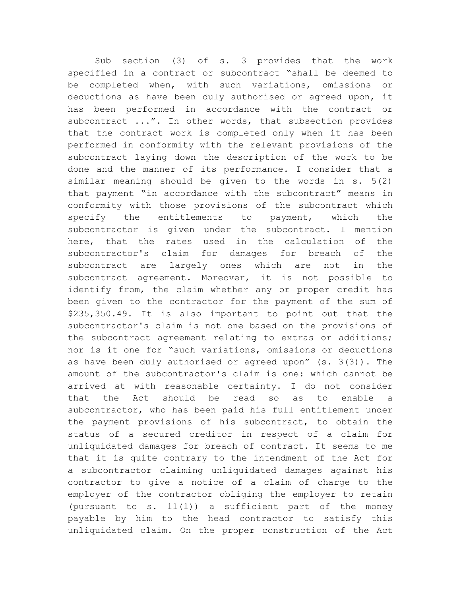Sub section (3) of s. 3 provides that the work specified in a contract or subcontract "shall be deemed to be completed when, with such variations, omissions or deductions as have been duly authorised or agreed upon, it has been performed in accordance with the contract or subcontract ...". In other words, that subsection provides that the contract work is completed only when it has been performed in conformity with the relevant provisions of the subcontract laying down the description of the work to be done and the manner of its performance. I consider that a similar meaning should be given to the words in s. 5(2) that payment "in accordance with the subcontract" means in conformity with those provisions of the subcontract which specify the entitlements to payment, which the subcontractor is given under the subcontract. I mention here, that the rates used in the calculation of the subcontractor's claim for damages for breach of the subcontract are largely ones which are not in the subcontract agreement. Moreover, it is not possible to identify from, the claim whether any or proper credit has been given to the contractor for the payment of the sum of \$235,350.49. It is also important to point out that the subcontractor's claim is not one based on the provisions of the subcontract agreement relating to extras or additions; nor is it one for "such variations, omissions or deductions as have been duly authorised or agreed upon" (s. 3(3)). The amount of the subcontractor's claim is one: which cannot be arrived at with reasonable certainty. I do not consider that the Act should be read so as to enable a subcontractor, who has been paid his full entitlement under the payment provisions of his subcontract, to obtain the status of a secured creditor in respect of a claim for unliquidated damages for breach of contract. It seems to me that it is quite contrary to the intendment of the Act for a subcontractor claiming unliquidated damages against his contractor to give a notice of a claim of charge to the employer of the contractor obliging the employer to retain (pursuant to s. 11(1)) a sufficient part of the money payable by him to the head contractor to satisfy this unliquidated claim. On the proper construction of the Act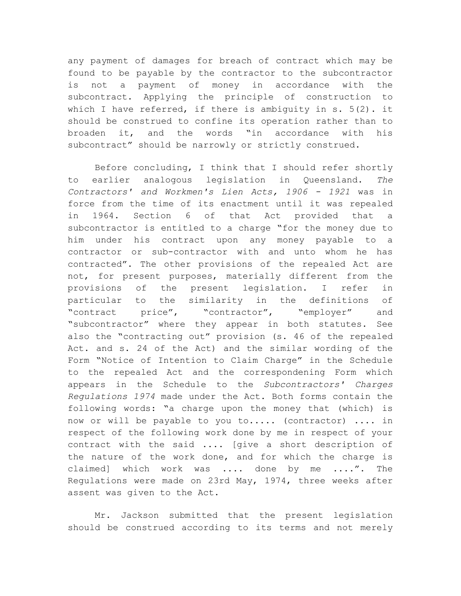any payment of damages for breach of contract which may be found to be payable by the contractor to the subcontractor is not a payment of money in accordance with the subcontract. Applying the principle of construction to which I have referred, if there is ambiguity in  $s. 5(2)$ . it should be construed to confine its operation rather than to broaden it, and the words "in accordance with his subcontract" should be narrowly or strictly construed.

Before concluding, I think that I should refer shortly to earlier analogous legislation in Queensland. *The Contractors' and Workmen's Lien Acts, 1906 - 1921* was in force from the time of its enactment until it was repealed in 1964. Section 6 of that Act provided that a subcontractor is entitled to a charge "for the money due to him under his contract upon any money payable to a contractor or sub-contractor with and unto whom he has contracted". The other provisions of the repealed Act are not, for present purposes, materially different from the provisions of the present legislation. I refer in particular to the similarity in the definitions of "contract price", "contractor", "employer" and "subcontractor" where they appear in both statutes. See also the "contracting out" provision (s. 46 of the repealed Act. and s. 24 of the Act) and the similar wording of the Form "Notice of Intention to Claim Charge" in the Schedule to the repealed Act and the correspondening Form which appears in the Schedule to the *Subcontractors' Charges Regulations 1974* made under the Act. Both forms contain the following words: "a charge upon the money that (which) is now or will be payable to you to..... (contractor) .... in respect of the following work done by me in respect of your contract with the said .... [give a short description of the nature of the work done, and for which the charge is claimed] which work was .... done by me ....". The Regulations were made on 23rd May, 1974, three weeks after assent was given to the Act.

Mr. Jackson submitted that the present legislation should be construed according to its terms and not merely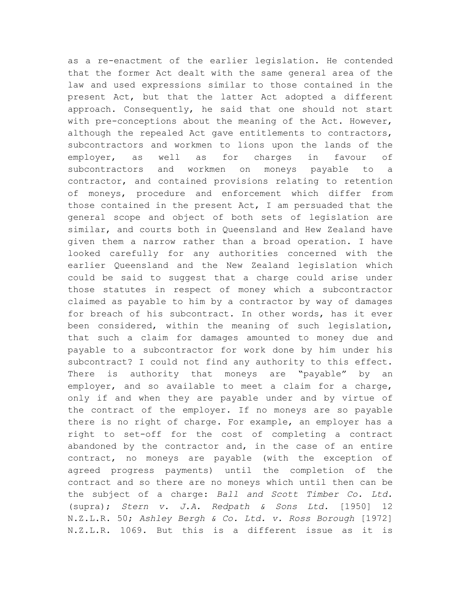as a re-enactment of the earlier legislation. He contended that the former Act dealt with the same general area of the law and used expressions similar to those contained in the present Act, but that the latter Act adopted a different approach. Consequently, he said that one should not start with pre-conceptions about the meaning of the Act. However, although the repealed Act gave entitlements to contractors, subcontractors and workmen to lions upon the lands of the employer, as well as for charges in favour of subcontractors and workmen on moneys payable to a contractor, and contained provisions relating to retention of moneys, procedure and enforcement which differ from those contained in the present Act, I am persuaded that the general scope and object of both sets of legislation are similar, and courts both in Queensland and Hew Zealand have given them a narrow rather than a broad operation. I have looked carefully for any authorities concerned with the earlier Queensland and the New Zealand legislation which could be said to suggest that a charge could arise under those statutes in respect of money which a subcontractor claimed as payable to him by a contractor by way of damages for breach of his subcontract. In other words, has it ever been considered, within the meaning of such legislation, that such a claim for damages amounted to money due and payable to a subcontractor for work done by him under his subcontract? I could not find any authority to this effect. There is authority that moneys are "payable" by an employer, and so available to meet a claim for a charge, only if and when they are payable under and by virtue of the contract of the employer. If no moneys are so payable there is no right of charge. For example, an employer has a right to set-off for the cost of completing a contract abandoned by the contractor and, in the case of an entire contract, no moneys are payable (with the exception of agreed progress payments) until the completion of the contract and so there are no moneys which until then can be the subject of a charge: *Ball and Scott Timber Co. Ltd.* (supra); *Stern v. J.A. Redpath & Sons Ltd.* [1950] 12 N.Z.L.R. 50; *Ashley Bergh & Co. Ltd. v. Ross Borough* [1972] N.Z.L.R. 1069. But this is a different issue as it is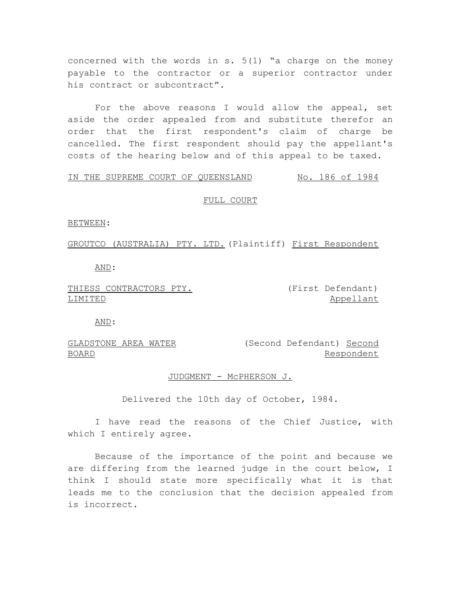concerned with the words in s. 5(1) "a charge on the money payable to the contractor or a superior contractor under his contract or subcontract".

For the above reasons I would allow the appeal, set aside the order appealed from and substitute therefor an order that the first respondent's claim of charge be cancelled. The first respondent should pay the appellant's costs of the hearing below and of this appeal to be taxed.

# IN THE SUPREME COURT OF QUEENSLAND No. 186 of 1984

#### FULL COURT

BETWEEN:

GROUTCO (AUSTRALIA) PTY. LTD. (Plaintiff) First Respondent

AND:

THIESS CONTRACTORS PTY. LIMITED

(First Defendant) Appellant

AND:

GLADSTONE AREA WATER (Second Defendant) Second BOARD Respondent

# JUDGMENT - McPHERSON J.

Delivered the 10th day of October, 1984.

I have read the reasons of the Chief Justice, with which I entirely agree.

Because of the importance of the point and because we are differing from the learned judge in the court below, I think I should state more specifically what it is that leads me to the conclusion that the decision appealed from is incorrect.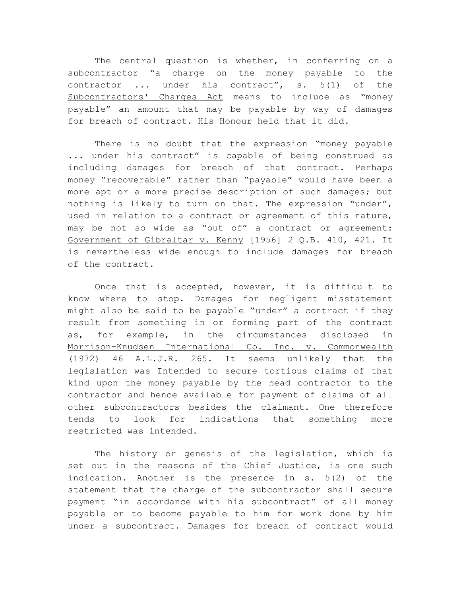The central question is whether, in conferring on a subcontractor "a charge on the money payable to the contractor ... under his contract", s. 5(1) of the Subcontractors' Charges Act means to include as "money payable" an amount that may be payable by way of damages for breach of contract. His Honour held that it did.

There is no doubt that the expression "money payable ... under his contract" is capable of being construed as including damages for breach of that contract. Perhaps money "recoverable" rather than "payable" would have been a more apt or a more precise description of such damages; but nothing is likely to turn on that. The expression "under", used in relation to a contract or agreement of this nature, may be not so wide as "out of" a contract or agreement: Government of Gibraltar v. Kenny [1956] 2 Q.B. 410, 421. It is nevertheless wide enough to include damages for breach of the contract.

Once that is accepted, however, it is difficult to know where to stop. Damages for negligent misstatement might also be said to be payable "under" a contract if they result from something in or forming part of the contract as, for example, in the circumstances disclosed in Morrison-Knudsen International Co. Inc. v. Commonwealth (1972) 46 A.L.J.R. 265. It seems unlikely that the legislation was Intended to secure tortious claims of that kind upon the money payable by the head contractor to the contractor and hence available for payment of claims of all other subcontractors besides the claimant. One therefore tends to look for indications that something more restricted was intended.

The history or genesis of the legislation, which is set out in the reasons of the Chief Justice, is one such indication. Another is the presence in s. 5(2) of the statement that the charge of the subcontractor shall secure payment "in accordance with his subcontract" of all money payable or to become payable to him for work done by him under a subcontract. Damages for breach of contract would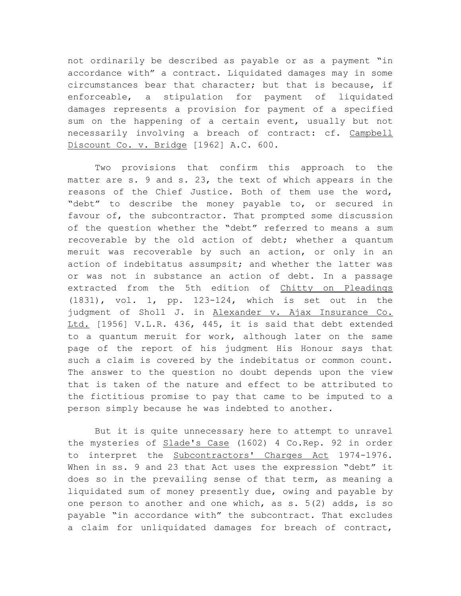not ordinarily be described as payable or as a payment "in accordance with" a contract. Liquidated damages may in some circumstances bear that character; but that is because, if enforceable, a stipulation for payment of liquidated damages represents a provision for payment of a specified sum on the happening of a certain event, usually but not necessarily involving a breach of contract: cf. Campbell Discount Co. v. Bridge [1962] A.C. 600.

Two provisions that confirm this approach to the matter are s. 9 and s. 23, the text of which appears in the reasons of the Chief Justice. Both of them use the word, "debt" to describe the money payable to, or secured in favour of, the subcontractor. That prompted some discussion of the question whether the "debt" referred to means a sum recoverable by the old action of debt; whether a quantum meruit was recoverable by such an action, or only in an action of indebitatus assumpsit; and whether the latter was or was not in substance an action of debt. In a passage extracted from the 5th edition of Chitty on Pleadings (1831), vol. 1, pp. 123-124, which is set out in the judgment of Sholl J. in Alexander v. Ajax Insurance Co. Ltd. [1956] V.L.R. 436, 445, it is said that debt extended to a quantum meruit for work, although later on the same page of the report of his judgment His Honour says that such a claim is covered by the indebitatus or common count. The answer to the question no doubt depends upon the view that is taken of the nature and effect to be attributed to the fictitious promise to pay that came to be imputed to a person simply because he was indebted to another.

But it is quite unnecessary here to attempt to unravel the mysteries of Slade's Case (1602) 4 Co.Rep. 92 in order to interpret the Subcontractors' Charges Act 1974-1976. When in ss. 9 and 23 that Act uses the expression "debt" it does so in the prevailing sense of that term, as meaning a liquidated sum of money presently due, owing and payable by one person to another and one which, as s. 5(2) adds, is so payable "in accordance with" the subcontract. That excludes a claim for unliquidated damages for breach of contract,